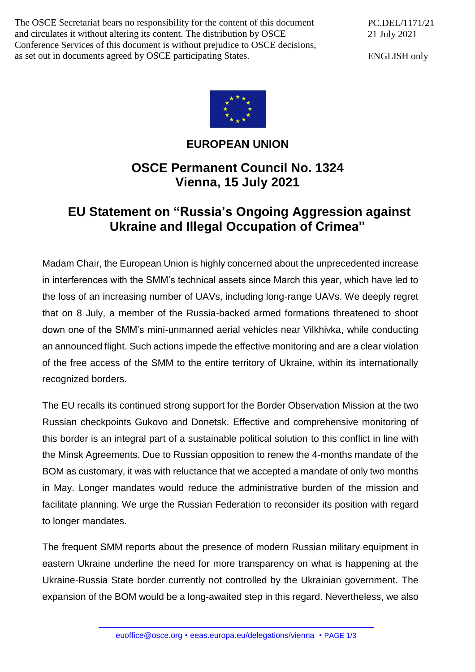The OSCE Secretariat bears no responsibility for the content of this document and circulates it without altering its content. The distribution by OSCE Conference Services of this document is without prejudice to OSCE decisions, as set out in documents agreed by OSCE participating States.

PC.DEL/1171/21 21 July 2021

ENGLISH only



## **EUROPEAN UNION**

## **OSCE Permanent Council No. 1324 Vienna, 15 July 2021**

## **EU Statement on "Russia's Ongoing Aggression against Ukraine and Illegal Occupation of Crimea"**

Madam Chair, the European Union is highly concerned about the unprecedented increase in interferences with the SMM's technical assets since March this year, which have led to the loss of an increasing number of UAVs, including long-range UAVs. We deeply regret that on 8 July, a member of the Russia-backed armed formations threatened to shoot down one of the SMM's mini-unmanned aerial vehicles near Vilkhivka, while conducting an announced flight. Such actions impede the effective monitoring and are a clear violation of the free access of the SMM to the entire territory of Ukraine, within its internationally recognized borders.

The EU recalls its continued strong support for the Border Observation Mission at the two Russian checkpoints Gukovo and Donetsk. Effective and comprehensive monitoring of this border is an integral part of a sustainable political solution to this conflict in line with the Minsk Agreements. Due to Russian opposition to renew the 4-months mandate of the BOM as customary, it was with reluctance that we accepted a mandate of only two months in May. Longer mandates would reduce the administrative burden of the mission and facilitate planning. We urge the Russian Federation to reconsider its position with regard to longer mandates.

The frequent SMM reports about the presence of modern Russian military equipment in eastern Ukraine underline the need for more transparency on what is happening at the Ukraine-Russia State border currently not controlled by the Ukrainian government. The expansion of the BOM would be a long-awaited step in this regard. Nevertheless, we also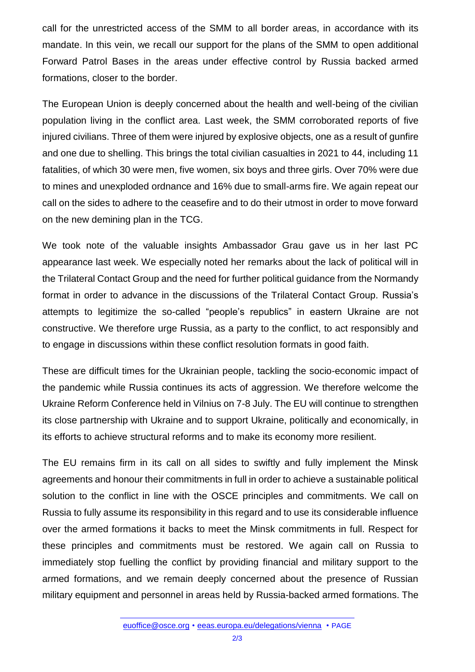call for the unrestricted access of the SMM to all border areas, in accordance with its mandate. In this vein, we recall our support for the plans of the SMM to open additional Forward Patrol Bases in the areas under effective control by Russia backed armed formations, closer to the border.

The European Union is deeply concerned about the health and well-being of the civilian population living in the conflict area. Last week, the SMM corroborated reports of five injured civilians. Three of them were injured by explosive objects, one as a result of gunfire and one due to shelling. This brings the total civilian casualties in 2021 to 44, including 11 fatalities, of which 30 were men, five women, six boys and three girls. Over 70% were due to mines and unexploded ordnance and 16% due to small-arms fire. We again repeat our call on the sides to adhere to the ceasefire and to do their utmost in order to move forward on the new demining plan in the TCG.

We took note of the valuable insights Ambassador Grau gave us in her last PC appearance last week. We especially noted her remarks about the lack of political will in the Trilateral Contact Group and the need for further political guidance from the Normandy format in order to advance in the discussions of the Trilateral Contact Group. Russia's attempts to legitimize the so-called "people's republics" in eastern Ukraine are not constructive. We therefore urge Russia, as a party to the conflict, to act responsibly and to engage in discussions within these conflict resolution formats in good faith.

These are difficult times for the Ukrainian people, tackling the socio-economic impact of the pandemic while Russia continues its acts of aggression. We therefore welcome the Ukraine Reform Conference held in Vilnius on 7-8 July. The EU will continue to strengthen its close partnership with Ukraine and to support Ukraine, politically and economically, in its efforts to achieve structural reforms and to make its economy more resilient.

The EU remains firm in its call on all sides to swiftly and fully implement the Minsk agreements and honour their commitments in full in order to achieve a sustainable political solution to the conflict in line with the OSCE principles and commitments. We call on Russia to fully assume its responsibility in this regard and to use its considerable influence over the armed formations it backs to meet the Minsk commitments in full. Respect for these principles and commitments must be restored. We again call on Russia to immediately stop fuelling the conflict by providing financial and military support to the armed formations, and we remain deeply concerned about the presence of Russian military equipment and personnel in areas held by Russia-backed armed formations. The